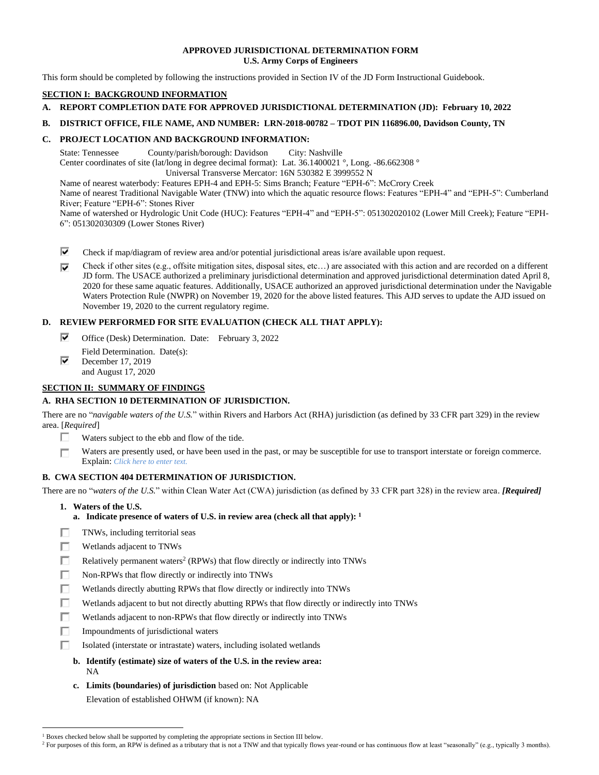### **APPROVED JURISDICTIONAL DETERMINATION FORM U.S. Army Corps of Engineers**

This form should be completed by following the instructions provided in Section IV of the JD Form Instructional Guidebook.

## **SECTION I: BACKGROUND INFORMATION**

# **A. REPORT COMPLETION DATE FOR APPROVED JURISDICTIONAL DETERMINATION (JD): February 10, 2022**

## **B. DISTRICT OFFICE, FILE NAME, AND NUMBER: LRN-2018-00782 – TDOT PIN 116896.00, Davidson County, TN**

## **C. PROJECT LOCATION AND BACKGROUND INFORMATION:**

State: Tennessee County/parish/borough: Davidson City: Nashville

Center coordinates of site (lat/long in degree decimal format): Lat. 36.1400021 °, Long. -86.662308 °

Universal Transverse Mercator: 16N 530382 E 3999552 N

Name of nearest waterbody: Features EPH-4 and EPH-5: Sims Branch; Feature "EPH-6": McCrory Creek Name of nearest Traditional Navigable Water (TNW) into which the aquatic resource flows: Features "EPH-4" and "EPH-5": Cumberland River; Feature "EPH-6": Stones River

Name of watershed or Hydrologic Unit Code (HUC): Features "EPH-4" and "EPH-5": 051302020102 (Lower Mill Creek); Feature "EPH-6": 051302030309 (Lower Stones River)

- ⊽ Check if map/diagram of review area and/or potential jurisdictional areas is/are available upon request.
- ⊽ Check if other sites (e.g., offsite mitigation sites, disposal sites, etc…) are associated with this action and are recorded on a different JD form. The USACE authorized a preliminary jurisdictional determination and approved jurisdictional determination dated April 8, 2020 for these same aquatic features. Additionally, USACE authorized an approved jurisdictional determination under the Navigable Waters Protection Rule (NWPR) on November 19, 2020 for the above listed features. This AJD serves to update the AJD issued on November 19, 2020 to the current regulatory regime.

## **D. REVIEW PERFORMED FOR SITE EVALUATION (CHECK ALL THAT APPLY):**

- ⊽ Office (Desk) Determination. Date: February 3, 2022
- Field Determination. Date(s): ⊽ December 17, 2019
- and August 17, 2020

## **SECTION II: SUMMARY OF FINDINGS**

## **A. RHA SECTION 10 DETERMINATION OF JURISDICTION.**

There are no "*navigable waters of the U.S.*" within Rivers and Harbors Act (RHA) jurisdiction (as defined by 33 CFR part 329) in the review area. [*Required*]

- П Waters subject to the ebb and flow of the tide.
- Waters are presently used, or have been used in the past, or may be susceptible for use to transport interstate or foreign commerce. П Explain: *Click here to enter text.*

## **B. CWA SECTION 404 DETERMINATION OF JURISDICTION.**

There are no "*waters of the U.S.*" within Clean Water Act (CWA) jurisdiction (as defined by 33 CFR part 328) in the review area. *[Required]*

- **1. Waters of the U.S.**
	- **a. Indicate presence of waters of U.S. in review area (check all that apply): 1**
- г TNWs, including territorial seas
- П. Wetlands adjacent to TNWs
- П. Relatively permanent waters<sup>2</sup> (RPWs) that flow directly or indirectly into TNWs
- п Non-RPWs that flow directly or indirectly into TNWs
- г Wetlands directly abutting RPWs that flow directly or indirectly into TNWs
- П Wetlands adjacent to but not directly abutting RPWs that flow directly or indirectly into TNWs
- п Wetlands adjacent to non-RPWs that flow directly or indirectly into TNWs
- п Impoundments of jurisdictional waters
- п Isolated (interstate or intrastate) waters, including isolated wetlands
	- **b. Identify (estimate) size of waters of the U.S. in the review area:** NA
	- **c. Limits (boundaries) of jurisdiction** based on: Not Applicable Elevation of established OHWM (if known): NA

<sup>2</sup> For purposes of this form, an RPW is defined as a tributary that is not a TNW and that typically flows year-round or has continuous flow at least "seasonally" (e.g., typically 3 months).

<sup>&</sup>lt;sup>1</sup> Boxes checked below shall be supported by completing the appropriate sections in Section III below.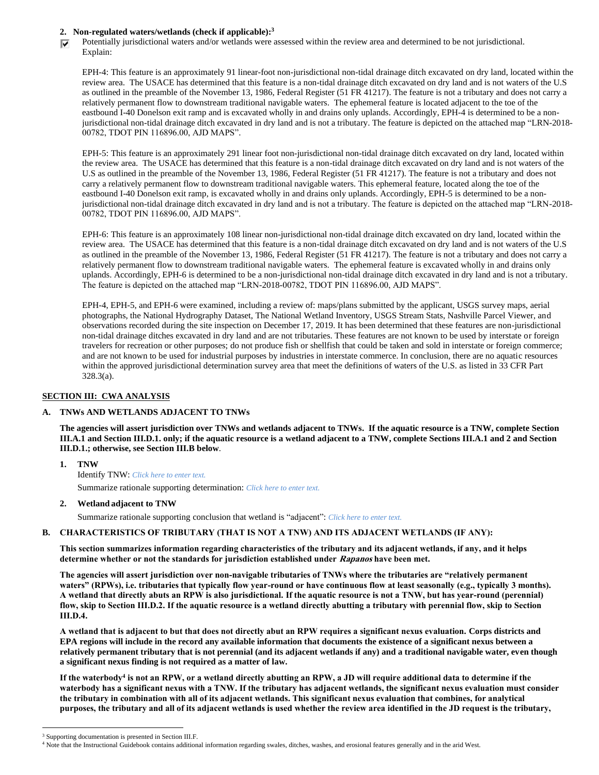## **2. Non-regulated waters/wetlands (check if applicable): 3**

Potentially jurisdictional waters and/or wetlands were assessed within the review area and determined to be not jurisdictional. ⊽ Explain:

EPH-4: This feature is an approximately 91 linear-foot non-jurisdictional non-tidal drainage ditch excavated on dry land, located within the review area. The USACE has determined that this feature is a non-tidal drainage ditch excavated on dry land and is not waters of the U.S as outlined in the preamble of the November 13, 1986, Federal Register (51 FR 41217). The feature is not a tributary and does not carry a relatively permanent flow to downstream traditional navigable waters. The ephemeral feature is located adjacent to the toe of the eastbound I-40 Donelson exit ramp and is excavated wholly in and drains only uplands. Accordingly, EPH-4 is determined to be a nonjurisdictional non-tidal drainage ditch excavated in dry land and is not a tributary. The feature is depicted on the attached map "LRN-2018- 00782, TDOT PIN 116896.00, AJD MAPS".

EPH-5: This feature is an approximately 291 linear foot non-jurisdictional non-tidal drainage ditch excavated on dry land, located within the review area. The USACE has determined that this feature is a non-tidal drainage ditch excavated on dry land and is not waters of the U.S as outlined in the preamble of the November 13, 1986, Federal Register (51 FR 41217). The feature is not a tributary and does not carry a relatively permanent flow to downstream traditional navigable waters. This ephemeral feature, located along the toe of the eastbound I-40 Donelson exit ramp, is excavated wholly in and drains only uplands. Accordingly, EPH-5 is determined to be a nonjurisdictional non-tidal drainage ditch excavated in dry land and is not a tributary. The feature is depicted on the attached map "LRN-2018- 00782, TDOT PIN 116896.00, AJD MAPS".

EPH-6: This feature is an approximately 108 linear non-jurisdictional non-tidal drainage ditch excavated on dry land, located within the review area. The USACE has determined that this feature is a non-tidal drainage ditch excavated on dry land and is not waters of the U.S as outlined in the preamble of the November 13, 1986, Federal Register (51 FR 41217). The feature is not a tributary and does not carry a relatively permanent flow to downstream traditional navigable waters. The ephemeral feature is excavated wholly in and drains only uplands. Accordingly, EPH-6 is determined to be a non-jurisdictional non-tidal drainage ditch excavated in dry land and is not a tributary. The feature is depicted on the attached map "LRN-2018-00782, TDOT PIN 116896.00, AJD MAPS".

EPH-4, EPH-5, and EPH-6 were examined, including a review of: maps/plans submitted by the applicant, USGS survey maps, aerial photographs, the National Hydrography Dataset, The National Wetland Inventory, USGS Stream Stats, Nashville Parcel Viewer, and observations recorded during the site inspection on December 17, 2019. It has been determined that these features are non-jurisdictional non-tidal drainage ditches excavated in dry land and are not tributaries. These features are not known to be used by interstate or foreign travelers for recreation or other purposes; do not produce fish or shellfish that could be taken and sold in interstate or foreign commerce; and are not known to be used for industrial purposes by industries in interstate commerce. In conclusion, there are no aquatic resources within the approved jurisdictional determination survey area that meet the definitions of waters of the U.S. as listed in 33 CFR Part 328.3(a).

## **SECTION III: CWA ANALYSIS**

## **A. TNWs AND WETLANDS ADJACENT TO TNWs**

**The agencies will assert jurisdiction over TNWs and wetlands adjacent to TNWs. If the aquatic resource is a TNW, complete Section III.A.1 and Section III.D.1. only; if the aquatic resource is a wetland adjacent to a TNW, complete Sections III.A.1 and 2 and Section III.D.1.; otherwise, see Section III.B below**.

**1. TNW**  Identify TNW: *Click here to enter text.*

Summarize rationale supporting determination: *Click here to enter text.*

**2. Wetland adjacent to TNW**

Summarize rationale supporting conclusion that wetland is "adjacent": *Click here to enter text.*

## **B. CHARACTERISTICS OF TRIBUTARY (THAT IS NOT A TNW) AND ITS ADJACENT WETLANDS (IF ANY):**

**This section summarizes information regarding characteristics of the tributary and its adjacent wetlands, if any, and it helps determine whether or not the standards for jurisdiction established under Rapanos have been met.** 

**The agencies will assert jurisdiction over non-navigable tributaries of TNWs where the tributaries are "relatively permanent waters" (RPWs), i.e. tributaries that typically flow year-round or have continuous flow at least seasonally (e.g., typically 3 months). A wetland that directly abuts an RPW is also jurisdictional. If the aquatic resource is not a TNW, but has year-round (perennial) flow, skip to Section III.D.2. If the aquatic resource is a wetland directly abutting a tributary with perennial flow, skip to Section III.D.4.**

**A wetland that is adjacent to but that does not directly abut an RPW requires a significant nexus evaluation. Corps districts and EPA regions will include in the record any available information that documents the existence of a significant nexus between a relatively permanent tributary that is not perennial (and its adjacent wetlands if any) and a traditional navigable water, even though a significant nexus finding is not required as a matter of law.**

**If the waterbody<sup>4</sup> is not an RPW, or a wetland directly abutting an RPW, a JD will require additional data to determine if the waterbody has a significant nexus with a TNW. If the tributary has adjacent wetlands, the significant nexus evaluation must consider the tributary in combination with all of its adjacent wetlands. This significant nexus evaluation that combines, for analytical purposes, the tributary and all of its adjacent wetlands is used whether the review area identified in the JD request is the tributary,** 

<sup>&</sup>lt;sup>3</sup> Supporting documentation is presented in Section III.F.

<sup>4</sup> Note that the Instructional Guidebook contains additional information regarding swales, ditches, washes, and erosional features generally and in the arid West.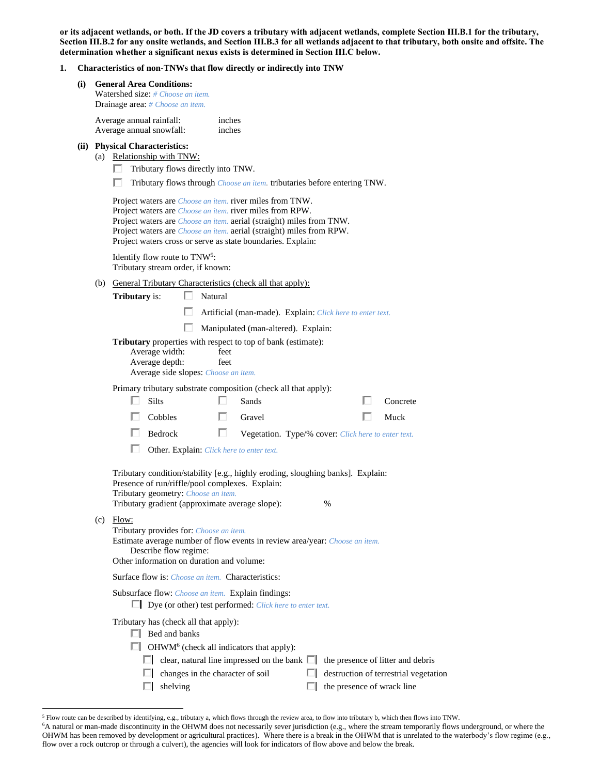**or its adjacent wetlands, or both. If the JD covers a tributary with adjacent wetlands, complete Section III.B.1 for the tributary, Section III.B.2 for any onsite wetlands, and Section III.B.3 for all wetlands adjacent to that tributary, both onsite and offsite. The determination whether a significant nexus exists is determined in Section III.C below.**

## **1. Characteristics of non-TNWs that flow directly or indirectly into TNW**

|     |                                                                                                                                                                                                                                                                                                                                                                                                                                                       | Characteristics of hon-livers that how un cetty or municity muo liver                                                                                                                                                                                                                                                                        |  |  |  |  |
|-----|-------------------------------------------------------------------------------------------------------------------------------------------------------------------------------------------------------------------------------------------------------------------------------------------------------------------------------------------------------------------------------------------------------------------------------------------------------|----------------------------------------------------------------------------------------------------------------------------------------------------------------------------------------------------------------------------------------------------------------------------------------------------------------------------------------------|--|--|--|--|
| (i) | <b>General Area Conditions:</b><br><b>Watershed size:</b> # Choose an item.<br>Drainage area: # Choose an item.                                                                                                                                                                                                                                                                                                                                       |                                                                                                                                                                                                                                                                                                                                              |  |  |  |  |
|     |                                                                                                                                                                                                                                                                                                                                                                                                                                                       | Average annual rainfall:<br>inches<br>Average annual snowfall:<br>inches                                                                                                                                                                                                                                                                     |  |  |  |  |
|     | (ii) Physical Characteristics:<br>(a) Relationship with TNW:<br>Tributary flows directly into TNW.                                                                                                                                                                                                                                                                                                                                                    |                                                                                                                                                                                                                                                                                                                                              |  |  |  |  |
|     | Tributary flows through <i>Choose an item</i> . tributaries before entering TNW.<br>Project waters are <i>Choose an item</i> . river miles from TNW.<br>Project waters are <i>Choose an item</i> . river miles from RPW.<br>Project waters are <i>Choose an item.</i> aerial (straight) miles from TNW.<br>Project waters are <i>Choose an item.</i> aerial (straight) miles from RPW.<br>Project waters cross or serve as state boundaries. Explain: |                                                                                                                                                                                                                                                                                                                                              |  |  |  |  |
|     | Identify flow route to TNW <sup>5</sup> :<br>Tributary stream order, if known:                                                                                                                                                                                                                                                                                                                                                                        |                                                                                                                                                                                                                                                                                                                                              |  |  |  |  |
|     | (b) General Tributary Characteristics (check all that apply):<br><b>Tributary</b> is:<br>ш<br>Natural                                                                                                                                                                                                                                                                                                                                                 |                                                                                                                                                                                                                                                                                                                                              |  |  |  |  |
|     |                                                                                                                                                                                                                                                                                                                                                                                                                                                       | Artificial (man-made). Explain: Click here to enter text.                                                                                                                                                                                                                                                                                    |  |  |  |  |
|     |                                                                                                                                                                                                                                                                                                                                                                                                                                                       | Manipulated (man-altered). Explain:                                                                                                                                                                                                                                                                                                          |  |  |  |  |
|     | <b>Tributary</b> properties with respect to top of bank (estimate):<br>Average width:<br>feet<br>Average depth:<br>feet<br>Average side slopes: Choose an item.                                                                                                                                                                                                                                                                                       |                                                                                                                                                                                                                                                                                                                                              |  |  |  |  |
|     |                                                                                                                                                                                                                                                                                                                                                                                                                                                       | Primary tributary substrate composition (check all that apply):<br>Silts<br>H<br>Sands<br>Concrete<br>н.                                                                                                                                                                                                                                     |  |  |  |  |
|     |                                                                                                                                                                                                                                                                                                                                                                                                                                                       | Cobbles<br>U<br>Gravel<br>Muck                                                                                                                                                                                                                                                                                                               |  |  |  |  |
|     |                                                                                                                                                                                                                                                                                                                                                                                                                                                       | Bedrock<br>ш<br>Vegetation. Type/% cover: Click here to enter text.                                                                                                                                                                                                                                                                          |  |  |  |  |
|     |                                                                                                                                                                                                                                                                                                                                                                                                                                                       | Other. Explain: Click here to enter text.                                                                                                                                                                                                                                                                                                    |  |  |  |  |
|     |                                                                                                                                                                                                                                                                                                                                                                                                                                                       |                                                                                                                                                                                                                                                                                                                                              |  |  |  |  |
|     |                                                                                                                                                                                                                                                                                                                                                                                                                                                       | Tributary condition/stability [e.g., highly eroding, sloughing banks]. Explain:<br>Presence of run/riffle/pool complexes. Explain:<br>Tributary geometry: Choose an item.<br>Tributary gradient (approximate average slope):<br>%                                                                                                            |  |  |  |  |
|     | $(c)$ Flow:<br>Tributary provides for: Choose an item.<br>Estimate average number of flow events in review area/year: Choose an item.<br>Describe flow regime:<br>Other information on duration and volume:                                                                                                                                                                                                                                           |                                                                                                                                                                                                                                                                                                                                              |  |  |  |  |
|     | Surface flow is: <i>Choose an item.</i> Characteristics:                                                                                                                                                                                                                                                                                                                                                                                              |                                                                                                                                                                                                                                                                                                                                              |  |  |  |  |
|     | Subsurface flow: <i>Choose an item.</i> Explain findings:<br>$\Box$ Dye (or other) test performed: <i>Click here to enter text.</i>                                                                                                                                                                                                                                                                                                                   |                                                                                                                                                                                                                                                                                                                                              |  |  |  |  |
|     |                                                                                                                                                                                                                                                                                                                                                                                                                                                       | Tributary has (check all that apply):<br>$\Box$ Bed and banks<br>OHWM <sup>6</sup> (check all indicators that apply):<br>$\Box$ clear, natural line impressed on the bank $\Box$<br>the presence of litter and debris<br>changes in the character of soil<br>destruction of terrestrial vegetation<br>the presence of wrack line<br>shelving |  |  |  |  |

<sup>5</sup> Flow route can be described by identifying, e.g., tributary a, which flows through the review area, to flow into tributary b, which then flows into TNW.

<sup>6</sup>A natural or man-made discontinuity in the OHWM does not necessarily sever jurisdiction (e.g., where the stream temporarily flows underground, or where the OHWM has been removed by development or agricultural practices). Where there is a break in the OHWM that is unrelated to the waterbody's flow regime (e.g., flow over a rock outcrop or through a culvert), the agencies will look for indicators of flow above and below the break.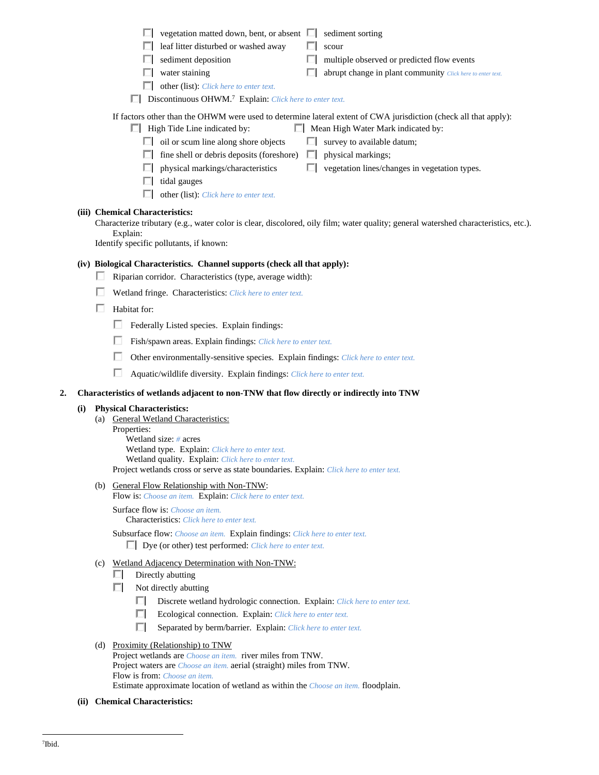|                                                                                                                                                                                                      | vegetation matted down, bent, or absent $\Box$<br>sediment sorting                                                                                                                                                                                                                                                                                                                                                                                                                                        |  |  |  |  |  |
|------------------------------------------------------------------------------------------------------------------------------------------------------------------------------------------------------|-----------------------------------------------------------------------------------------------------------------------------------------------------------------------------------------------------------------------------------------------------------------------------------------------------------------------------------------------------------------------------------------------------------------------------------------------------------------------------------------------------------|--|--|--|--|--|
|                                                                                                                                                                                                      | leaf litter disturbed or washed away<br>scour                                                                                                                                                                                                                                                                                                                                                                                                                                                             |  |  |  |  |  |
|                                                                                                                                                                                                      | sediment deposition<br>multiple observed or predicted flow events                                                                                                                                                                                                                                                                                                                                                                                                                                         |  |  |  |  |  |
|                                                                                                                                                                                                      | water staining<br>abrupt change in plant community Click here to enter text.                                                                                                                                                                                                                                                                                                                                                                                                                              |  |  |  |  |  |
|                                                                                                                                                                                                      | other (list): Click here to enter text.                                                                                                                                                                                                                                                                                                                                                                                                                                                                   |  |  |  |  |  |
| Discontinuous OHWM. <sup>7</sup> Explain: Click here to enter text.                                                                                                                                  |                                                                                                                                                                                                                                                                                                                                                                                                                                                                                                           |  |  |  |  |  |
| If factors other than the OHWM were used to determine lateral extent of CWA jurisdiction (check all that apply):<br>$\Box$ High Tide Line indicated by:<br>$\Box$ Mean High Water Mark indicated by: |                                                                                                                                                                                                                                                                                                                                                                                                                                                                                                           |  |  |  |  |  |
|                                                                                                                                                                                                      | oil or scum line along shore objects<br>survey to available datum;<br>U.                                                                                                                                                                                                                                                                                                                                                                                                                                  |  |  |  |  |  |
|                                                                                                                                                                                                      | fine shell or debris deposits (foreshore)<br>physical markings;<br>ш                                                                                                                                                                                                                                                                                                                                                                                                                                      |  |  |  |  |  |
|                                                                                                                                                                                                      | physical markings/characteristics<br>vegetation lines/changes in vegetation types.                                                                                                                                                                                                                                                                                                                                                                                                                        |  |  |  |  |  |
|                                                                                                                                                                                                      | tidal gauges                                                                                                                                                                                                                                                                                                                                                                                                                                                                                              |  |  |  |  |  |
|                                                                                                                                                                                                      | other (list): Click here to enter text.                                                                                                                                                                                                                                                                                                                                                                                                                                                                   |  |  |  |  |  |
|                                                                                                                                                                                                      | (iii) Chemical Characteristics:<br>Characterize tributary (e.g., water color is clear, discolored, oily film; water quality; general watershed characteristics, etc.).<br>Explain:<br>Identify specific pollutants, if known:<br>(iv) Biological Characteristics. Channel supports (check all that apply):<br>ш<br>Riparian corridor. Characteristics (type, average width):<br>Wetland fringe. Characteristics: Click here to enter text.<br>Habitat for:<br>Federally Listed species. Explain findings: |  |  |  |  |  |
|                                                                                                                                                                                                      | Fish/spawn areas. Explain findings: Click here to enter text.                                                                                                                                                                                                                                                                                                                                                                                                                                             |  |  |  |  |  |
|                                                                                                                                                                                                      | Other environmentally-sensitive species. Explain findings: Click here to enter text.                                                                                                                                                                                                                                                                                                                                                                                                                      |  |  |  |  |  |
|                                                                                                                                                                                                      | Aquatic/wildlife diversity. Explain findings: Click here to enter text.                                                                                                                                                                                                                                                                                                                                                                                                                                   |  |  |  |  |  |
| 2.                                                                                                                                                                                                   | Characteristics of wetlands adjacent to non-TNW that flow directly or indirectly into TNW                                                                                                                                                                                                                                                                                                                                                                                                                 |  |  |  |  |  |
|                                                                                                                                                                                                      | <b>Physical Characteristics:</b><br>(i)<br>General Wetland Characteristics:<br>(a)<br>Properties:<br>Wetland $eize + force$                                                                                                                                                                                                                                                                                                                                                                               |  |  |  |  |  |
|                                                                                                                                                                                                      |                                                                                                                                                                                                                                                                                                                                                                                                                                                                                                           |  |  |  |  |  |

Wetland size: *#* acres Wetland type. Explain: *Click here to enter text.* Wetland quality. Explain: *Click here to enter text.* Project wetlands cross or serve as state boundaries. Explain: *Click here to enter text.*

(b) General Flow Relationship with Non-TNW: Flow is: *Choose an item.* Explain: *Click here to enter text.*

Surface flow is: *Choose an item.* Characteristics: *Click here to enter text.*

Subsurface flow: *Choose an item.* Explain findings: *Click here to enter text.* Dye (or other) test performed: *Click here to enter text.*

## (c) Wetland Adjacency Determination with Non-TNW:

- $\Box$  Directly abutting
- $\Box$  Not directly abutting
	- Discrete wetland hydrologic connection. Explain: *Click here to enter text.*
	- Ecological connection. Explain: *Click here to enter text.*
	- Separated by berm/barrier. Explain: *Click here to enter text.*
- (d) Proximity (Relationship) to TNW Project wetlands are *Choose an item.* river miles from TNW. Project waters are *Choose an item.* aerial (straight) miles from TNW. Flow is from: *Choose an item.* Estimate approximate location of wetland as within the *Choose an item.* floodplain.
- **(ii) Chemical Characteristics:**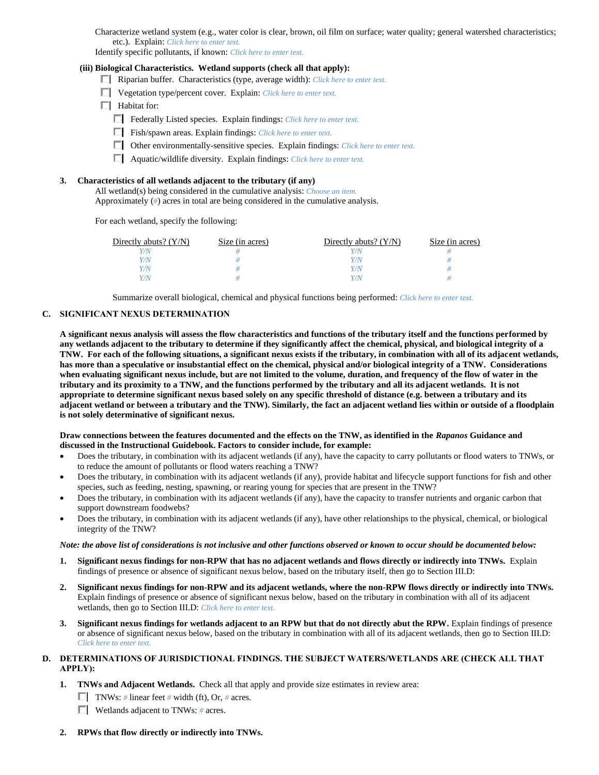Characterize wetland system (e.g., water color is clear, brown, oil film on surface; water quality; general watershed characteristics; etc.). Explain: *Click here to enter text.*

Identify specific pollutants, if known: *Click here to enter text.*

#### **(iii) Biological Characteristics. Wetland supports (check all that apply):**

- Riparian buffer. Characteristics (type, average width): *Click here to enter text.*
- Vegetation type/percent cover. Explain: *Click here to enter text.*
- $\Box$  Habitat for:
	- Federally Listed species. Explain findings: *Click here to enter text*.
	- Fish/spawn areas. Explain findings: *Click here to enter text.*
	- Other environmentally-sensitive species. Explain findings: *Click here to enter text.*
	- Aquatic/wildlife diversity. Explain findings: *Click here to enter text.*

#### **3. Characteristics of all wetlands adjacent to the tributary (if any)**

All wetland(s) being considered in the cumulative analysis: *Choose an item.* Approximately (*#*) acres in total are being considered in the cumulative analysis.

For each wetland, specify the following:

| Directly abuts? $(Y/N)$ | Size (in acres) | Directly abuts? $(Y/N)$ | Size (in acres) |
|-------------------------|-----------------|-------------------------|-----------------|
|                         |                 |                         |                 |
| $^{\prime\prime}$ N     |                 | Y/N                     |                 |
| 7N                      |                 | Y/N                     |                 |
| 7/N                     |                 | V/N                     |                 |

Summarize overall biological, chemical and physical functions being performed: *Click here to enter text.*

#### **C. SIGNIFICANT NEXUS DETERMINATION**

**A significant nexus analysis will assess the flow characteristics and functions of the tributary itself and the functions performed by any wetlands adjacent to the tributary to determine if they significantly affect the chemical, physical, and biological integrity of a TNW. For each of the following situations, a significant nexus exists if the tributary, in combination with all of its adjacent wetlands, has more than a speculative or insubstantial effect on the chemical, physical and/or biological integrity of a TNW. Considerations when evaluating significant nexus include, but are not limited to the volume, duration, and frequency of the flow of water in the tributary and its proximity to a TNW, and the functions performed by the tributary and all its adjacent wetlands. It is not appropriate to determine significant nexus based solely on any specific threshold of distance (e.g. between a tributary and its adjacent wetland or between a tributary and the TNW). Similarly, the fact an adjacent wetland lies within or outside of a floodplain is not solely determinative of significant nexus.** 

#### **Draw connections between the features documented and the effects on the TNW, as identified in the** *Rapanos* **Guidance and discussed in the Instructional Guidebook. Factors to consider include, for example:**

- Does the tributary, in combination with its adjacent wetlands (if any), have the capacity to carry pollutants or flood waters to TNWs, or to reduce the amount of pollutants or flood waters reaching a TNW?
- Does the tributary, in combination with its adjacent wetlands (if any), provide habitat and lifecycle support functions for fish and other species, such as feeding, nesting, spawning, or rearing young for species that are present in the TNW?
- Does the tributary, in combination with its adjacent wetlands (if any), have the capacity to transfer nutrients and organic carbon that support downstream foodwebs?
- Does the tributary, in combination with its adjacent wetlands (if any), have other relationships to the physical, chemical, or biological integrity of the TNW?

#### *Note: the above list of considerations is not inclusive and other functions observed or known to occur should be documented below:*

- **1. Significant nexus findings for non-RPW that has no adjacent wetlands and flows directly or indirectly into TNWs.** Explain findings of presence or absence of significant nexus below, based on the tributary itself, then go to Section III.D:
- **2. Significant nexus findings for non-RPW and its adjacent wetlands, where the non-RPW flows directly or indirectly into TNWs.**  Explain findings of presence or absence of significant nexus below, based on the tributary in combination with all of its adjacent wetlands, then go to Section III.D: *Click here to enter text.*
- **3. Significant nexus findings for wetlands adjacent to an RPW but that do not directly abut the RPW.** Explain findings of presence or absence of significant nexus below, based on the tributary in combination with all of its adjacent wetlands, then go to Section III.D: *Click here to enter text.*

### **D. DETERMINATIONS OF JURISDICTIONAL FINDINGS. THE SUBJECT WATERS/WETLANDS ARE (CHECK ALL THAT APPLY):**

- **1. TNWs and Adjacent Wetlands.** Check all that apply and provide size estimates in review area:
	- **TNWs:** # linear feet # width (ft), Or, # acres.
	- Wetlands adjacent to TNWs: *#* acres.
- **2. RPWs that flow directly or indirectly into TNWs.**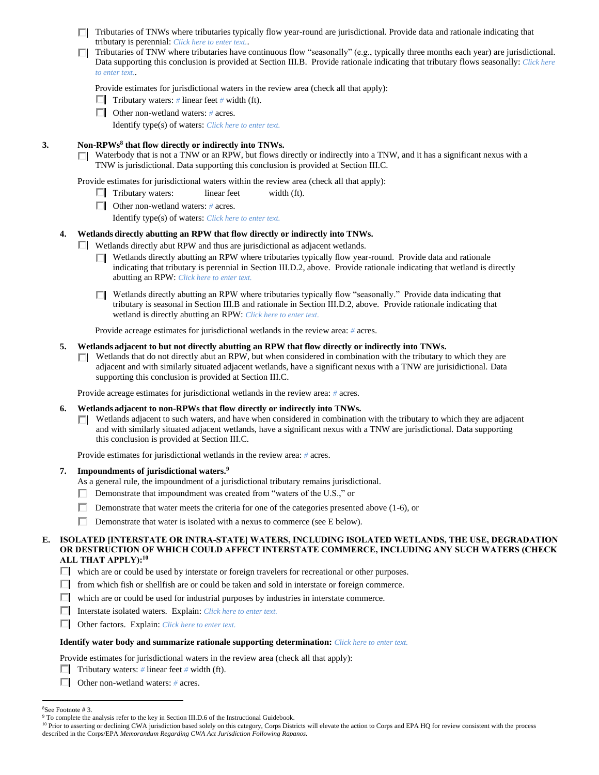- $\Box$  Tributaries of TNWs where tributaries typically flow year-round are jurisdictional. Provide data and rationale indicating that tributary is perennial: *Click here to enter text.*.
- Tributaries of TNW where tributaries have continuous flow "seasonally" (e.g., typically three months each year) are jurisdictional. Data supporting this conclusion is provided at Section III.B. Provide rationale indicating that tributary flows seasonally: *Click here to enter text.*.

Provide estimates for jurisdictional waters in the review area (check all that apply):

- **Tributary waters:** # linear feet # width (ft).
- Other non-wetland waters: *#* acres.

Identify type(s) of waters: *Click here to enter text.*

#### **3. Non-RPWs<sup>8</sup> that flow directly or indirectly into TNWs.**

Waterbody that is not a TNW or an RPW, but flows directly or indirectly into a TNW, and it has a significant nexus with a П. TNW is jurisdictional. Data supporting this conclusion is provided at Section III.C.

Provide estimates for jurisdictional waters within the review area (check all that apply):

- $\Box$  Tributary waters: linear feet width (ft).
- Other non-wetland waters: *#* acres.

Identify type(s) of waters: *Click here to enter text.*

### **4. Wetlands directly abutting an RPW that flow directly or indirectly into TNWs.**

- $\Box$  Wetlands directly abut RPW and thus are jurisdictional as adjacent wetlands.
	- Wetlands directly abutting an RPW where tributaries typically flow year-round. Provide data and rationale П. indicating that tributary is perennial in Section III.D.2, above. Provide rationale indicating that wetland is directly abutting an RPW: *Click here to enter text.*
	- $\Box$  Wetlands directly abutting an RPW where tributaries typically flow "seasonally." Provide data indicating that tributary is seasonal in Section III.B and rationale in Section III.D.2, above. Provide rationale indicating that wetland is directly abutting an RPW: *Click here to enter text.*

Provide acreage estimates for jurisdictional wetlands in the review area: *#* acres.

#### **5. Wetlands adjacent to but not directly abutting an RPW that flow directly or indirectly into TNWs.**

 $\Box$  Wetlands that do not directly abut an RPW, but when considered in combination with the tributary to which they are adjacent and with similarly situated adjacent wetlands, have a significant nexus with a TNW are jurisidictional. Data supporting this conclusion is provided at Section III.C.

Provide acreage estimates for jurisdictional wetlands in the review area: *#* acres.

#### **6. Wetlands adjacent to non-RPWs that flow directly or indirectly into TNWs.**

 $\Box$  Wetlands adjacent to such waters, and have when considered in combination with the tributary to which they are adjacent and with similarly situated adjacent wetlands, have a significant nexus with a TNW are jurisdictional. Data supporting this conclusion is provided at Section III.C.

Provide estimates for jurisdictional wetlands in the review area: *#* acres.

#### **7. Impoundments of jurisdictional waters. 9**

- As a general rule, the impoundment of a jurisdictional tributary remains jurisdictional.
- п. Demonstrate that impoundment was created from "waters of the U.S.," or
- П. Demonstrate that water meets the criteria for one of the categories presented above (1-6), or
- П. Demonstrate that water is isolated with a nexus to commerce (see E below).

### **E. ISOLATED [INTERSTATE OR INTRA-STATE] WATERS, INCLUDING ISOLATED WETLANDS, THE USE, DEGRADATION OR DESTRUCTION OF WHICH COULD AFFECT INTERSTATE COMMERCE, INCLUDING ANY SUCH WATERS (CHECK ALL THAT APPLY):<sup>10</sup>**

- which are or could be used by interstate or foreign travelers for recreational or other purposes.
- $\Box$  from which fish or shellfish are or could be taken and sold in interstate or foreign commerce.
- $\Box$  which are or could be used for industrial purposes by industries in interstate commerce.
- Interstate isolated waters.Explain: *Click here to enter text.*
- Other factors.Explain: *Click here to enter text.*

#### **Identify water body and summarize rationale supporting determination:** *Click here to enter text.*

Provide estimates for jurisdictional waters in the review area (check all that apply):

**Tributary waters:** # linear feet # width (ft).

Other non-wetland waters: *#* acres.

<sup>8</sup>See Footnote # 3.

<sup>&</sup>lt;sup>9</sup> To complete the analysis refer to the key in Section III.D.6 of the Instructional Guidebook.

<sup>&</sup>lt;sup>10</sup> Prior to asserting or declining CWA jurisdiction based solely on this category, Corps Districts will elevate the action to Corps and EPA HQ for review consistent with the process described in the Corps/EPA *Memorandum Regarding CWA Act Jurisdiction Following Rapanos.*